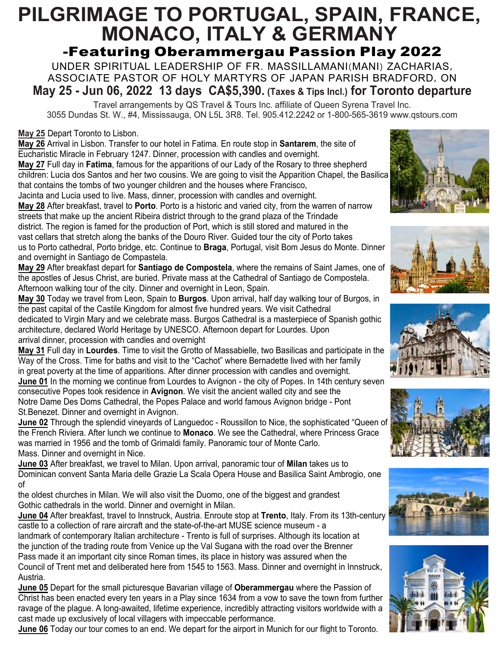# **PILGRIMAGE TO PORTUGAL, SPAIN, FRANCE, MONACO, ITALY & GERMANY**  -Featuring Oberammergau Passion Play 2022

UNDER SPIRITUAL LEADERSHIP OF FR. MASSILLAMANI(MANI) ZACHARIAS, ASSOCIATE PASTOR OF HOLY MARTYRS OF JAPAN PARISH BRADFORD, ON **May 25 - Jun 06, 2022 13 days CA\$5,390. (Taxes & Tips Incl.) for Toronto departure**

Travel arrangements by QS Travel & Tours Inc. affiliate of Queen Syrena Travel Inc. 3055 Dundas St. W., #4, Mississauga, ON L5L 3R8. Tel. 905.412.2242 or 1-800-565-3619 www.qstours.com

**May 25** Depart Toronto to Lisbon.

**May 26** Arrival in Lisbon. Transfer to our hotel in Fatima. En route stop in **Santarem**, the site of Eucharistic Miracle in February 1247. Dinner, procession with candles and overnight. **May 27** Full day in **Fatima**, famous for the apparitions of our Lady of the Rosary to three shepherd children: Lucia dos Santos and her two cousins. We are going to visit the Apparition Chapel, the Basilica

that contains the tombs of two younger children and the houses where Francisco, Jacinta and Lucia used to live. Mass, dinner, procession with candles and overnight.

**May 28** After breakfast, travel to **Porto**. Porto is a historic and varied city, from the warren of narrow streets that make up the ancient Ribeira district through to the grand plaza of the Trindade district. The region is famed for the production of Port, which is still stored and matured in the vast cellars that stretch along the banks of the Douro River. Guided tour the city of Porto takes us to Porto cathedral, Porto bridge, etc. Continue to **Braga**, Portugal, visit Bom Jesus do Monte. Dinner and overnight in Santiago de Compastela.

**May 29** After breakfast depart for **Santiago de Compostela**, where the remains of Saint James, one of the apostles of Jesus Christ, are buried. Private mass at the Cathedral of Santiago de Compostela. Afternoon walking tour of the city. Dinner and overnight in Leon, Spain.

**May 30** Today we travel from Leon, Spain to **Burgos**. Upon arrival, half day walking tour of Burgos, in the past capital of the Castile Kingdom for almost five hundred years. We visit Cathedral dedicated to Virgin Mary and we celebrate mass. Burgos Cathedral is a masterpiece of Spanish gothic architecture, declared World Heritage by UNESCO. Afternoon depart for Lourdes. Upon arrival dinner, procession with candles and overnight

**May 31** Full day in **Lourdes**. Time to visit the Grotto of Massabielle, two Basilicas and participate in the Way of the Cross. Time for baths and visit to the "Cachot" where Bernadette lived with her family in great poverty at the time of apparitions. After dinner procession with candles and overnight.

**June 01** In the morning we continue from Lourdes to Avignon - the city of Popes. In 14th century seven consecutive Popes took residence in **Avignon**. We visit the ancient walled city and see the Notre Dame Des Doms Cathedral, the Popes Palace and world famous Avignon bridge - Pont St.Benezet. Dinner and overnight in Avignon.

**June 02** Through the splendid vineyards of Languedoc - Roussillon to Nice, the sophisticated "Queen of the French Riviera. After lunch we continue to **Monaco**. We see the Cathedral, where Princess Grace was married in 1956 and the tomb of Grimaldi family. Panoramic tour of Monte Carlo. Mass. Dinner and overnight in Nice.

**June 03** After breakfast, we travel to Milan. Upon arrival, panoramic tour of **Milan** takes us to Dominican convent Santa Maria delle Grazie La Scala Opera House and Basilica Saint Ambrogio, one of the oldest churches in Milan. We will also visit the Duomo, one of the biggest and grandest Gothic cathedrals in the world. Dinner and overnight in Milan.

**June 04** After breakfast, travel to Innstruck, Austria. Enroute stop at **Trento**, Italy. From its 13th-century castle to a collection of rare aircraft and the state-of-the-art MUSE science museum - a landmark of contemporary Italian architecture - Trento is full of surprises. Although its location at the junction of the trading route from Venice up the Val Sugana with the road over the Brenner Pass made it an important city since Roman times, its place in history was assured when the Council of Trent met and deliberated here from 1545 to 1563. Mass. Dinner and overnight in Innstruck, Austria.

**June 05** Depart for the small picturesque Bavarian village of **Oberammergau** where the Passion of Christ has been enacted every ten years in a Play since 1634 from a vow to save the town from further ravage of the plague. A long-awaited, lifetime experience, incredibly attracting visitors worldwide with a cast made up exclusively of local villagers with impeccable performance.

**June 06** Today our tour comes to an end. We depart for the airport in Munich for our flight to Toronto.